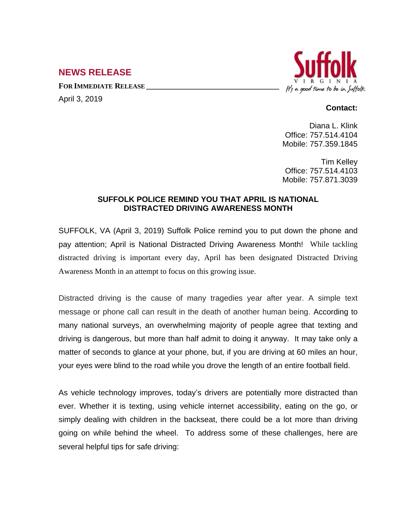## **NEWS RELEASE**

**FOR IMMEDIATE RELEASE \_\_\_\_\_\_\_\_\_\_\_\_\_\_\_\_\_\_\_\_\_\_\_\_\_\_\_\_\_\_\_\_\_\_**

April 3, 2019



## **Contact:**

Diana L. Klink Office: 757.514.4104 Mobile: 757.359.1845

Tim Kelley Office: 757.514.4103 Mobile: 757.871.3039

## **SUFFOLK POLICE REMIND YOU THAT APRIL IS NATIONAL DISTRACTED DRIVING AWARENESS MONTH**

SUFFOLK, VA (April 3, 2019) Suffolk Police remind you to put down the phone and pay attention; April is National Distracted Driving Awareness Month! While tackling distracted driving is important every day, April has been designated Distracted Driving Awareness Month in an attempt to focus on this growing issue.

Distracted driving is the cause of many tragedies year after year. A simple text message or phone call can result in the death of another human being. According to many national surveys, an overwhelming majority of people agree that texting and driving is dangerous, but more than half admit to doing it anyway. It may take only a matter of seconds to glance at your phone, but, if you are driving at 60 miles an hour, your eyes were blind to the road while you drove the length of an entire football field.

As vehicle technology improves, today's drivers are potentially more distracted than ever. Whether it is texting, using vehicle internet accessibility, eating on the go, or simply dealing with children in the backseat, there could be a lot more than driving going on while behind the wheel. To address some of these challenges, here are several helpful tips for safe driving: